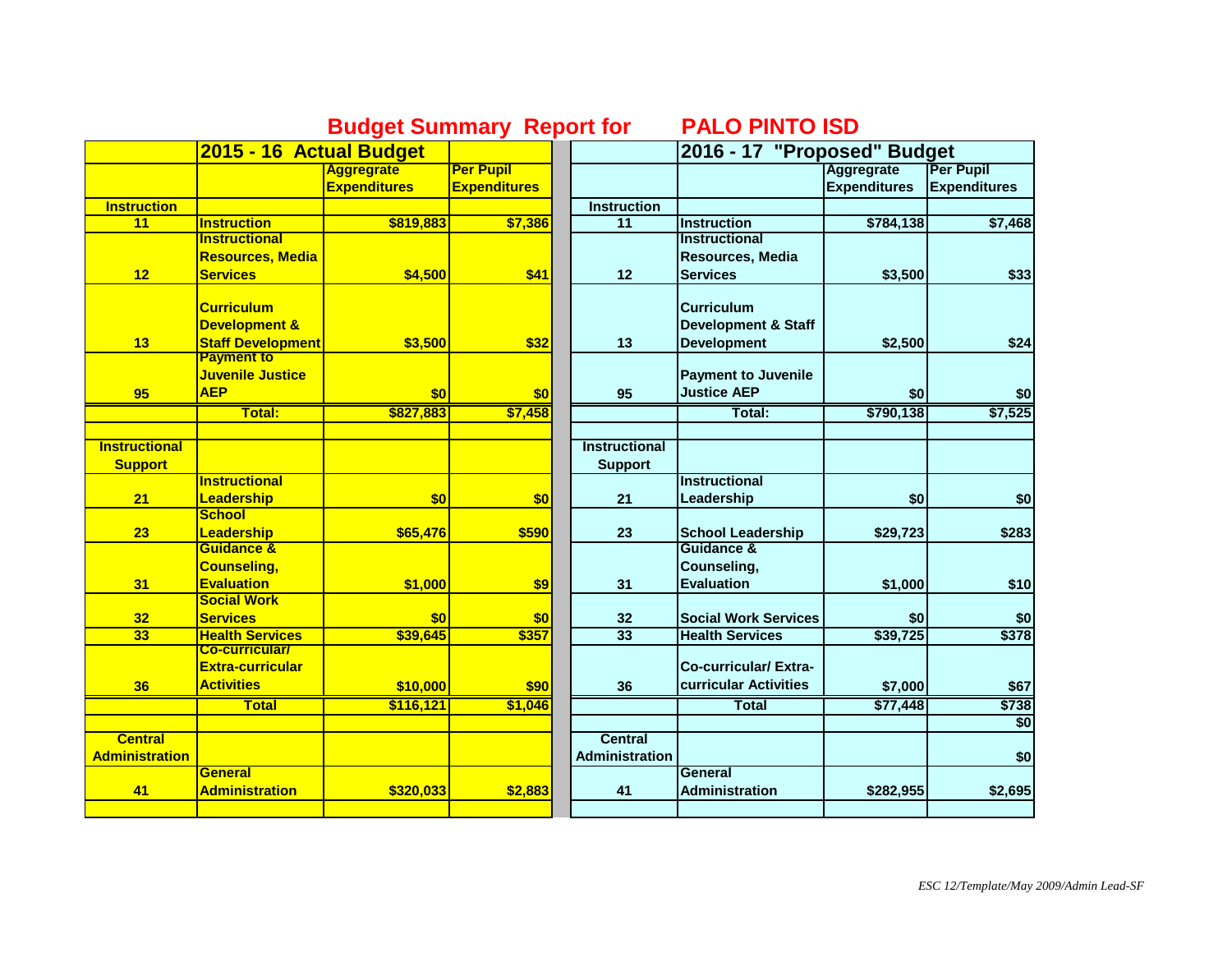## **Budget Summary Report for PALO PINTO ISD**

|                       | 2015 - 16 Actual Budget                       |                     |                     |                       | 2016 - 17 "Proposed" Budget    |                     |                     |
|-----------------------|-----------------------------------------------|---------------------|---------------------|-----------------------|--------------------------------|---------------------|---------------------|
|                       |                                               | <b>Aggregrate</b>   | <b>Per Pupil</b>    |                       |                                | Aggregrate          | Per Pupil           |
|                       |                                               | <b>Expenditures</b> | <b>Expenditures</b> |                       |                                | <b>Expenditures</b> | <b>Expenditures</b> |
| <b>Instruction</b>    |                                               |                     |                     | <b>Instruction</b>    |                                |                     |                     |
| 11                    | <b>Instruction</b>                            | \$819,883           | \$7,386             | $\overline{11}$       | <b>Instruction</b>             | \$784,138           | \$7,468             |
|                       | <b>Instructional</b>                          |                     |                     |                       | <b>Instructional</b>           |                     |                     |
|                       | <b>Resources, Media</b>                       |                     |                     |                       | Resources, Media               |                     |                     |
| 12                    | <b>Services</b>                               | \$4,500             | \$41                | 12                    | <b>Services</b>                | \$3,500             | \$33                |
|                       | <b>Curriculum</b>                             |                     |                     |                       | <b>Curriculum</b>              |                     |                     |
|                       | <b>Development &amp;</b>                      |                     |                     |                       |                                |                     |                     |
|                       |                                               |                     |                     |                       | <b>Development &amp; Staff</b> |                     |                     |
| 13                    | <b>Staff Development</b><br><b>Payment to</b> | \$3,500             | \$32                | 13                    | <b>Development</b>             | \$2,500             | \$24                |
|                       | Juvenile Justice                              |                     |                     |                       | <b>Payment to Juvenile</b>     |                     |                     |
|                       | <b>AEP</b>                                    |                     |                     |                       | <b>Justice AEP</b>             |                     |                     |
| 95                    |                                               | \$0                 | \$0                 | 95                    |                                | \$0                 | \$0                 |
|                       | Total:                                        | \$827,883           | \$7,458             |                       | Total:                         | \$790,138           | \$7,525             |
| <b>Instructional</b>  |                                               |                     |                     | <b>Instructional</b>  |                                |                     |                     |
| <b>Support</b>        |                                               |                     |                     | <b>Support</b>        |                                |                     |                     |
|                       | <b>Instructional</b>                          |                     |                     |                       | <b>Instructional</b>           |                     |                     |
| 21                    | <b>Leadership</b>                             | \$0                 | \$0                 | 21                    | Leadership                     | \$0                 | \$0                 |
|                       | <b>School</b>                                 |                     |                     |                       |                                |                     |                     |
| 23                    | Leadership                                    | \$65,476            | \$590               | 23                    | <b>School Leadership</b>       | \$29,723            | \$283               |
|                       | <b>Guidance &amp;</b>                         |                     |                     |                       | Guidance &                     |                     |                     |
|                       | <b>Counseling,</b>                            |                     |                     |                       | Counseling,                    |                     |                     |
| 31                    | <b>Evaluation</b>                             | \$1,000             | \$9                 | 31                    | <b>Evaluation</b>              | \$1,000             | \$10                |
|                       | <b>Social Work</b>                            |                     |                     |                       |                                |                     |                     |
| 32                    | <b>Services</b>                               | \$0                 | \$0                 | 32                    | <b>Social Work Services</b>    | \$0                 | \$0                 |
| 33                    | <b>Health Services</b>                        | \$39,645            | \$357               | 33                    | <b>Health Services</b>         | \$39,725            | \$378               |
|                       | <b>Co-curricular/</b>                         |                     |                     |                       |                                |                     |                     |
|                       | <b>Extra-curricular</b>                       |                     |                     |                       | <b>Co-curricular/Extra-</b>    |                     |                     |
| 36                    | <b>Activities</b>                             | \$10,000            | \$90                | 36                    | curricular Activities          | \$7,000             | \$67                |
|                       | <b>Total</b>                                  | \$116,121           | \$1,046             |                       | <b>Total</b>                   | \$77,448            | \$738               |
|                       |                                               |                     |                     |                       |                                |                     | $\overline{50}$     |
| <b>Central</b>        |                                               |                     |                     | Central               |                                |                     |                     |
| <b>Administration</b> |                                               |                     |                     | <b>Administration</b> |                                |                     | \$0                 |
|                       | <b>General</b>                                |                     |                     |                       | <b>General</b>                 |                     |                     |
| 41                    | <b>Administration</b>                         | \$320,033           | \$2,883             | 41                    | <b>Administration</b>          | \$282,955           | \$2,695             |
|                       |                                               |                     |                     |                       |                                |                     |                     |